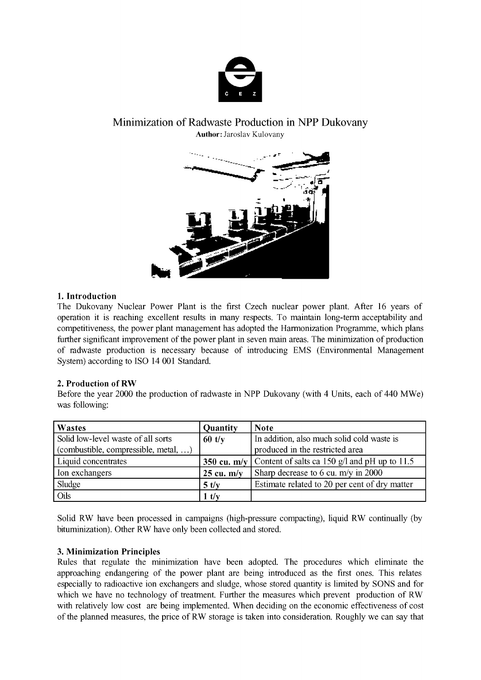

# Minimization of Radwaste Production in NPP Dukovany **Author:** Jaroslav Kulovany



## **1. Introduction**

The Dukovany Nuclear Power Plant is the first Czech nuclear power plant. After 16 years of operation it is reaching excellent results in many respects. To maintain long-term acceptability and competitiveness, the power plant management has adopted the Harmonization Programme, which plans further significant improvement of the power plant in seven main areas. The minimization of production of radwaste production is necessary because of introducing EMS (Environmental Management System) according to ISO 14 001 Standard.

# **2. Production of RW**

Before the year 2000 the production of radwaste in NPP Dukovany (with 4 Units, each of 440 MWe) was following:

| Wastes                               | Quantity             | <b>Note</b>                                                 |
|--------------------------------------|----------------------|-------------------------------------------------------------|
| Solid low-level waste of all sorts   | $60$ t/y             | In addition, also much solid cold waste is                  |
| (combustible, compressible, metal, ) |                      | produced in the restricted area                             |
| Liquid concentrates                  |                      | 350 cu. m/y   Content of salts ca 150 g/l and pH up to 11.5 |
| Ion exchangers                       | $25 \text{ cu. m/v}$ | Sharp decrease to 6 cu. $m/y$ in 2000                       |
| Sludge                               | 5 t/v                | Estimate related to 20 per cent of dry matter               |
| Oils                                 | $1$ t/y              |                                                             |

Solid RW have been processed in campaigns (high-pressure compacting), liquid RW continually (by bituminization). Other RW have only been collected and stored.

### **3. Minimization Principles**

Rules that regulate the minimization have been adopted. The procedures which eliminate the approaching endangering of the power plant are being introduced as the first ones. This relates especially to radioactive ion exchangers and sludge, whose stored quantity is limited by SONS and for which we have no technology of treatment. Further the measures which prevent production of RW with relatively low cost are being implemented. When deciding on the economic effectiveness of cost of the planned measures, the price of RW storage is taken into consideration. Roughly we can say that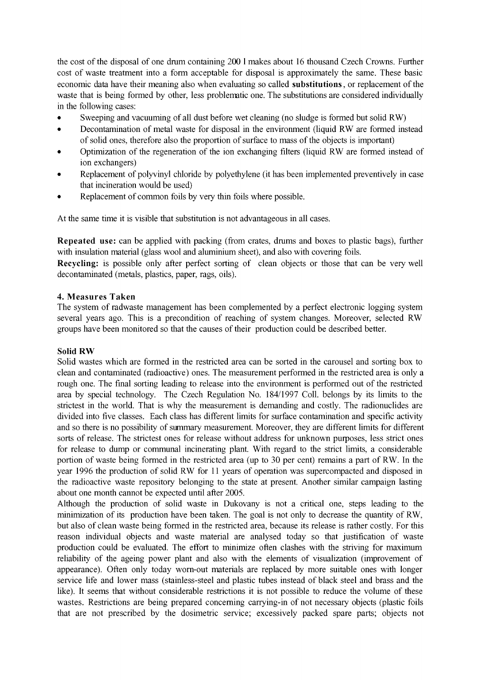the cost of the disposal of one drum containing 200 1 makes about 16 thousand Czech Crowns. Further cost of waste treatment into a form acceptable for disposal is approximately the same. These basic economic data have their meaning also when evaluating so called **substitutions,** or replacement of the waste that is being formed by other, less problematic one. The substitutions are considered individually in the following cases:

- Sweeping and vacuuming of all dust before wet cleaning (no sludge is formed but solid RW)
- Decontamination of metal waste for disposal in the environment (liquid RW are formed instead of solid ones, therefore also the proportion of surface to mass of the objects is important)
- Optimization of the regeneration of the ion exchanging filters (liquid RW are formed instead of ion exchangers)
- Replacement of polyvinyl chloride by polyethylene (it has been implemented preventively in case that incineration would be used)
- Replacement of common foils by very thin foils where possible.

At the same time it is visible that substitution is not advantageous in all cases.

**Repeated use:** can be applied with packing (from crates, drums and boxes to plastic bags), further with insulation material (glass wool and aluminium sheet), and also with covering foils.

**Recycling:** is possible only after perfect sorting of clean objects or those that can be very well decontaminated (metals, plastics, paper, rags, oils).

# **4. Measures Taken**

The system of radwaste management has been complemented by a perfect electronic logging system several years ago. This is a precondition of reaching of system changes. Moreover, selected RW groups have been monitored so that the causes of their production could be described better.

### **Solid RW**

Solid wastes which are formed in the restricted area can be sorted in the carousel and sorting box to clean and contaminated (radioactive) ones. The measurement performed in the restricted area is only a rough one. The final sorting leading to release into the environment is performed out of the restricted area by special technology. The Czech Regulation No. 184/1997 Coll. belongs by its limits to the strictest in the world. That is why the measurement is demanding and costly. The radionuclides are divided into five classes. Each class has different limits for surface contamination and specific activity and so there is no possibility of summary measurement. Moreover, they are different limits for different sorts of release. The strictest ones for release without address for unknown purposes, less strict ones for release to dump or communal incinerating plant. With regard to the strict limits, a considerable portion of waste being formed in the restricted area (up to 30 per cent) remains a part of RW. In the year 1996 the production of solid RW for 11 years of operation was supercompacted and disposed in the radioactive waste repository belonging to the state at present. Another similar campaign lasting about one month cannot be expected until after 2005.

Although the production of solid waste in Dukovany is not a critical one, steps leading to the minimization of its production have been taken. The goal is not only to decrease the quantity of RW, but also of clean waste being formed in the restricted area, because its release is rather costly. For this reason individual objects and waste material are analysed today so that justification of waste production could be evaluated. The effort to minimize often clashes with the striving for maximum reliability of the ageing power plant and also with the elements of visualization (improvement of appearance). Often only today worn-out materials are replaced by more suitable ones with longer service life and lower mass (stainless-steel and plastic tubes instead of black steel and brass and the like). It seems that without considerable restrictions it is not possible to reduce the volume of these wastes. Restrictions are being prepared concerning carrying-in of not necessary objects (plastic foils that are not prescribed by the dosimetric service; excessively packed spare parts; objects not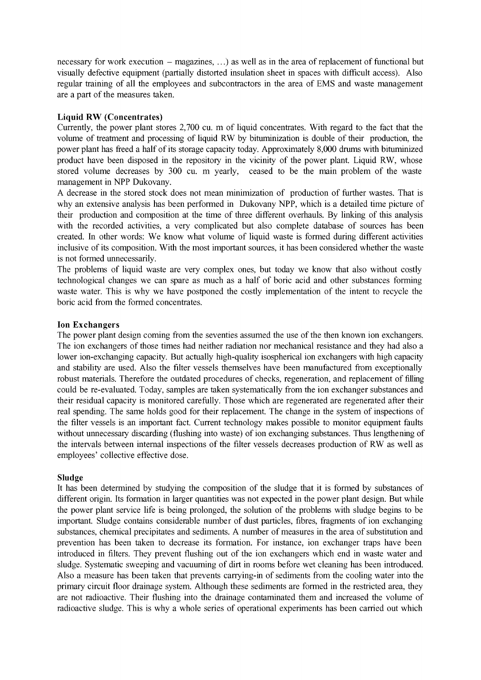necessary for work execution – magazines, ...) as well as in the area of replacement of functional but visually defective equipment (partially distorted insulation sheet in spaces with difficult access). Also regular training of all the employees and subcontractors in the area of EMS and waste management are a part of the measures taken.

## **Liquid RW (Concentrates)**

Currently, the power plant stores 2,700 cu. m of liquid concentrates. With regard to the fact that the volume of treatment and processing of liquid RW by bituminization is double of their production, the power plant has freed a half of its storage capacity today. Approximately 8,000 drums with bituminized product have been disposed in the repository in the vicinity of the power plant. Liquid RW, whose stored volume decreases by 300 cu. m yearly, ceased to be the main problem of the waste management in NPP Dukovany.

A decrease in the stored stock does not mean minimization of production of further wastes. That is why an extensive analysis has been performed in Dukovany NPP, which is a detailed time picture of their production and composition at the time of three different overhauls. By linking of this analysis with the recorded activities, a very complicated but also complete database of sources has been created. In other words: We know what volume of liquid waste is formed during different activities inclusive of its composition. With the most important sources, it has been considered whether the waste is not formed unnecessarily.

The problems of liquid waste are very complex ones, but today we know that also without costly technological changes we can spare as much as a half of boric acid and other substances forming waste water. This is why we have postponed the costly implementation of the intent to recycle the boric acid from the formed concentrates.

### **Ion Exchangers**

The power plant design coming from the seventies assumed the use of the then known ion exchangers. The ion exchangers of those times had neither radiation nor mechanical resistance and they had also a lower ion-exchanging capacity. But actually high-quality isospherical ion exchangers with high capacity and stability are used. Also the filter vessels themselves have been manufactured from exceptionally robust materials. Therefore the outdated procedures of checks, regeneration, and replacement of filling could be re-evaluated. Today, samples are taken systematically from the ion exchanger substances and their residual capacity is monitored carefully. Those which are regenerated are regenerated after their real spending. The same holds good for their replacement. The change in the system of inspections of the filter vessels is an important fact. Current technology makes possible to monitor equipment faults without unnecessary discarding (flushing into waste) of ion exchanging substances. Thus lengthening of the intervals between internal inspections of the filter vessels decreases production of RW as well as employees' collective effective dose.

### **Sludge**

It has been determined by studying the composition of the sludge that it is formed by substances of different origin. Its formation in larger quantities was not expected in the power plant design. But while the power plant service life is being prolonged, the solution of the problems with sludge begins to be important. Sludge contains considerable number of dust particles, fibres, fragments of ion exchanging substances, chemical precipitates and sediments. A number of measures in the area of substitution and prevention has been taken to decrease its formation. For instance, ion exchanger traps have been introduced in filters. They prevent flushing out of the ion exchangers which end in waste water and sludge. Systematic sweeping and vacuuming of dirt in rooms before wet cleaning has been introduced. Also a measure has been taken that prevents carrying-in of sediments from the cooling water into the primary circuit floor drainage system. Although these sediments are formed in the restricted area, they are not radioactive. Their flushing into the drainage contaminated them and increased the volume of radioactive sludge. This is why a whole series of operational experiments has been carried out which